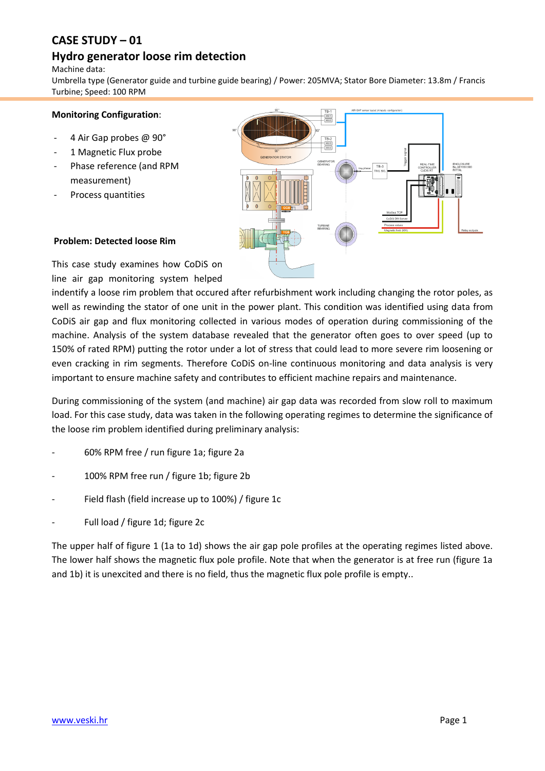# **CASE STUDY – 01**

## **Hydro generator loose rim detection**

Machine data:

Umbrella type (Generator guide and turbine guide bearing) / Power: 205MVA; Stator Bore Diameter: 13.8m / Francis Turbine; Speed: 100 RPM

#### **Monitoring Configuration**:

- 4 Air Gap probes @ 90°
- 1 Magnetic Flux probe
- Phase reference (and RPM measurement)
- Process quantities



#### **Problem: Detected loose Rim**

This case study examines how CoDiS on line air gap monitoring system helped

indentify a loose rim problem that occured after refurbishment work including changing the rotor poles, as well as rewinding the stator of one unit in the power plant. This condition was identified using data from CoDiS air gap and flux monitoring collected in various modes of operation during commissioning of the machine. Analysis of the system database revealed that the generator often goes to over speed (up to 150% of rated RPM) putting the rotor under a lot of stress that could lead to more severe rim loosening or even cracking in rim segments. Therefore CoDiS on-line continuous monitoring and data analysis is very important to ensure machine safety and contributes to efficient machine repairs and maintenance.

During commissioning of the system (and machine) air gap data was recorded from slow roll to maximum load. For this case study, data was taken in the following operating regimes to determine the significance of the loose rim problem identified during preliminary analysis:

- 60% RPM free / run figure 1a; figure 2a
- 100% RPM free run / figure 1b; figure 2b
- Field flash (field increase up to 100%) / figure 1c
- Full load / figure 1d; figure 2c

The upper half of figure 1 (1a to 1d) shows the air gap pole profiles at the operating regimes listed above. The lower half shows the magnetic flux pole profile. Note that when the generator is at free run (figure 1a and 1b) it is unexcited and there is no field, thus the magnetic flux pole profile is empty..